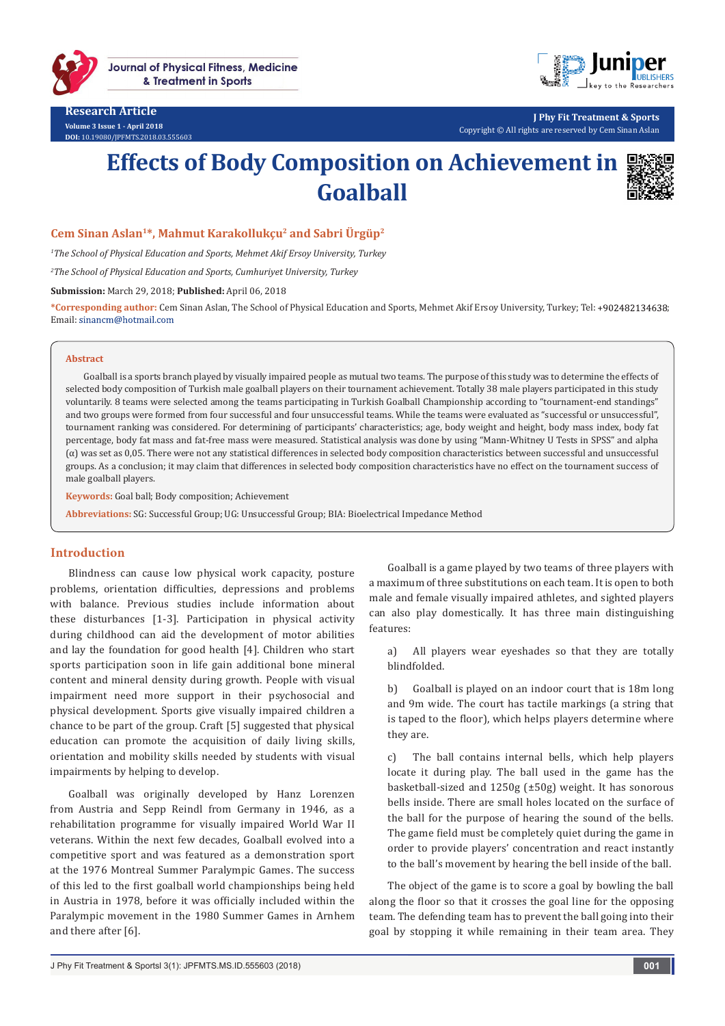

**Journal of Physical Fitness, Medicine** & Treatment in Sports

**Research Article Volume 3 Issue 1 - April 2018 DOI:** [10.19080/JPFMTS.2018.03.555603](http://dx.doi.org/10.19080/JPFMTS.2018.03.555603
)



**J Phy Fit Treatment & Sports** Copyright © All rights are reserved by Cem Sinan Aslan

# **Effects of Body Composition on Achievement in Goalball**



## **Cem Sinan Aslan1\*, Mahmut Karakollukçu2 and Sabri Ürgüp2**

*1 The School of Physical Education and Sports, Mehmet Akif Ersoy University, Turkey*

*2 The School of Physical Education and Sports, Cumhuriyet University, Turkey*

**Submission:** March 29, 2018; **Published:** April 06, 2018

**\*Corresponding author:** Cem Sinan Aslan, The School of Physical Education and Sports, Mehmet Akif Ersoy University, Turkey; Tel: ; Email: sinancm@hotmail.com

#### **Abstract**

Goalball is a sports branch played by visually impaired people as mutual two teams. The purpose of this study was to determine the effects of selected body composition of Turkish male goalball players on their tournament achievement. Totally 38 male players participated in this study voluntarily. 8 teams were selected among the teams participating in Turkish Goalball Championship according to "tournament-end standings" and two groups were formed from four successful and four unsuccessful teams. While the teams were evaluated as "successful or unsuccessful", tournament ranking was considered. For determining of participants' characteristics; age, body weight and height, body mass index, body fat percentage, body fat mass and fat-free mass were measured. Statistical analysis was done by using "Mann-Whitney U Tests in SPSS" and alpha (α) was set as 0,05. There were not any statistical differences in selected body composition characteristics between successful and unsuccessful groups. As a conclusion; it may claim that differences in selected body composition characteristics have no effect on the tournament success of male goalball players.

**Keywords:** Goal ball; Body composition; Achievement

**Abbreviations:** SG: Successful Group; UG: Unsuccessful Group; BIA: Bioelectrical Impedance Method

### **Introduction**

Blindness can cause low physical work capacity, posture problems, orientation difficulties, depressions and problems with balance. Previous studies include information about these disturbances [1-3]. Participation in physical activity during childhood can aid the development of motor abilities and lay the foundation for good health [4]. Children who start sports participation soon in life gain additional bone mineral content and mineral density during growth. People with visual impairment need more support in their psychosocial and physical development. Sports give visually impaired children a chance to be part of the group. Craft [5] suggested that physical education can promote the acquisition of daily living skills, orientation and mobility skills needed by students with visual impairments by helping to develop.

Goalball was originally developed by Hanz Lorenzen from Austria and Sepp Reindl from Germany in 1946, as a rehabilitation programme for visually impaired World War II veterans. Within the next few decades, Goalball evolved into a competitive sport and was featured as a demonstration sport at the 1976 Montreal Summer Paralympic Games. The success of this led to the first goalball world championships being held in Austria in 1978, before it was officially included within the Paralympic movement in the 1980 Summer Games in Arnhem and there after [6].

Goalball is a game played by two teams of three players with a maximum of three substitutions on each team. It is open to both male and female visually impaired athletes, and sighted players can also play domestically. It has three main distinguishing features:

a) All players wear eyeshades so that they are totally blindfolded.

b) Goalball is played on an indoor court that is 18m long and 9m wide. The court has tactile markings (a string that is taped to the floor), which helps players determine where they are.

c) The ball contains internal bells, which help players locate it during play. The ball used in the game has the basketball-sized and 1250g (±50g) weight. It has sonorous bells inside. There are small holes located on the surface of the ball for the purpose of hearing the sound of the bells. The game field must be completely quiet during the game in order to provide players' concentration and react instantly to the ball's movement by hearing the bell inside of the ball.

The object of the game is to score a goal by bowling the ball along the floor so that it crosses the goal line for the opposing team. The defending team has to prevent the ball going into their goal by stopping it while remaining in their team area. They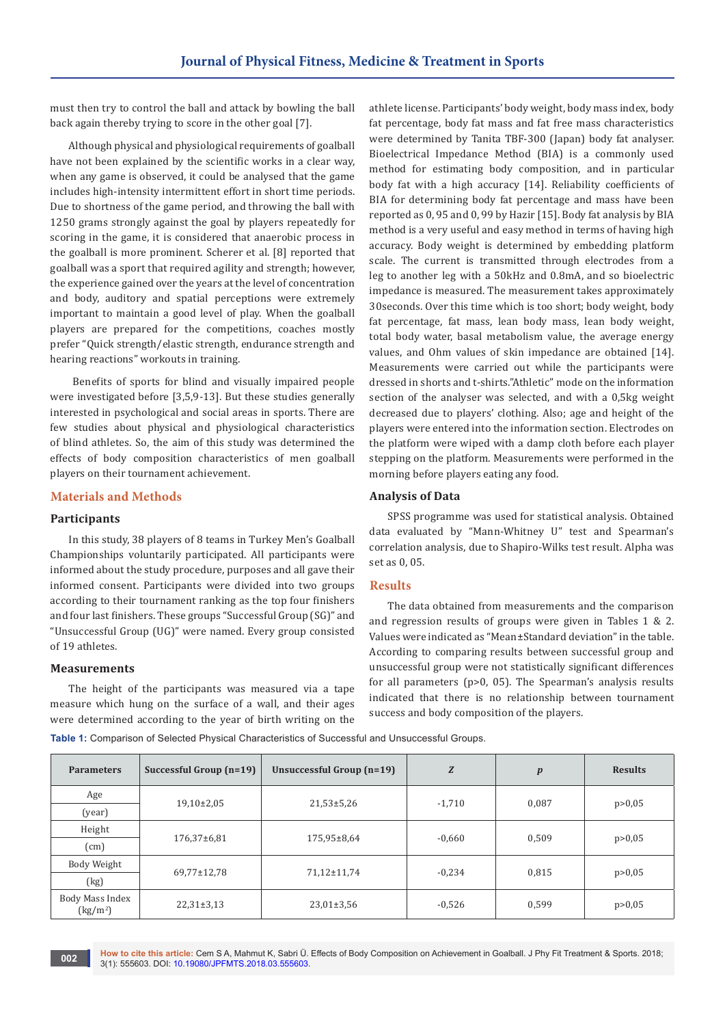must then try to control the ball and attack by bowling the ball back again thereby trying to score in the other goal [7].

Although physical and physiological requirements of goalball have not been explained by the scientific works in a clear way, when any game is observed, it could be analysed that the game includes high-intensity intermittent effort in short time periods. Due to shortness of the game period, and throwing the ball with 1250 grams strongly against the goal by players repeatedly for scoring in the game, it is considered that anaerobic process in the goalball is more prominent. Scherer et al. [8] reported that goalball was a sport that required agility and strength; however, the experience gained over the years at the level of concentration and body, auditory and spatial perceptions were extremely important to maintain a good level of play. When the goalball players are prepared for the competitions, coaches mostly prefer "Quick strength/elastic strength, endurance strength and hearing reactions" workouts in training.

 Benefits of sports for blind and visually impaired people were investigated before [3,5,9-13]. But these studies generally interested in psychological and social areas in sports. There are few studies about physical and physiological characteristics of blind athletes. So, the aim of this study was determined the effects of body composition characteristics of men goalball players on their tournament achievement.

## **Materials and Methods**

### **Participants**

In this study, 38 players of 8 teams in Turkey Men's Goalball Championships voluntarily participated. All participants were informed about the study procedure, purposes and all gave their informed consent. Participants were divided into two groups according to their tournament ranking as the top four finishers and four last finishers. These groups "Successful Group (SG)" and "Unsuccessful Group (UG)" were named. Every group consisted of 19 athletes.

#### **Measurements**

The height of the participants was measured via a tape measure which hung on the surface of a wall, and their ages were determined according to the year of birth writing on the athlete license. Participants' body weight, body mass index, body fat percentage, body fat mass and fat free mass characteristics were determined by Tanita TBF-300 (Japan) body fat analyser. Bioelectrical Impedance Method (BIA) is a commonly used method for estimating body composition, and in particular body fat with a high accuracy [14]. Reliability coefficients of BIA for determining body fat percentage and mass have been reported as 0, 95 and 0, 99 by Hazir [15]. Body fat analysis by BIA method is a very useful and easy method in terms of having high accuracy. Body weight is determined by embedding platform scale. The current is transmitted through electrodes from a leg to another leg with a 50kHz and 0.8mA, and so bioelectric impedance is measured. The measurement takes approximately 30seconds. Over this time which is too short; body weight, body fat percentage, fat mass, lean body mass, lean body weight, total body water, basal metabolism value, the average energy values, and Ohm values of skin impedance are obtained [14]. Measurements were carried out while the participants were dressed in shorts and t-shirts."Athletic" mode on the information section of the analyser was selected, and with a 0,5kg weight decreased due to players' clothing. Also; age and height of the players were entered into the information section. Electrodes on the platform were wiped with a damp cloth before each player stepping on the platform. Measurements were performed in the morning before players eating any food.

#### **Analysis of Data**

SPSS programme was used for statistical analysis. Obtained data evaluated by "Mann-Whitney U" test and Spearman's correlation analysis, due to Shapiro-Wilks test result. Alpha was set as 0, 05.

#### **Results**

The data obtained from measurements and the comparison and regression results of groups were given in Tables 1 & 2. Values were indicated as "Mean±Standard deviation" in the table. According to comparing results between successful group and unsuccessful group were not statistically significant differences for all parameters (p>0, 05). The Spearman's analysis results indicated that there is no relationship between tournament success and body composition of the players.

**Table 1:** Comparison of Selected Physical Characteristics of Successful and Unsuccessful Groups.

| <b>Parameters</b>                              | Successful Group (n=19) | Unsuccessful Group (n=19) | Z        | $\boldsymbol{p}$ | <b>Results</b> |  |
|------------------------------------------------|-------------------------|---------------------------|----------|------------------|----------------|--|
| Age                                            | $19,10\pm2,05$          | $21,53+5,26$              | $-1,710$ | 0,087            |                |  |
| (year)                                         |                         |                           |          |                  | p > 0,05       |  |
| Height                                         | 176,37±6,81             | 175,95±8,64               | $-0,660$ | 0,509            | p > 0,05       |  |
| (cm)                                           |                         |                           |          |                  |                |  |
| Body Weight                                    |                         |                           |          |                  |                |  |
| (kg)                                           | 69,77±12,78             | 71,12±11,74               | $-0,234$ | 0,815            | p > 0,05       |  |
| Body Mass Index<br>$\left({\rm kg/m^2}\right)$ | $22,31\pm3,13$          | $23,01\pm3,56$            | $-0,526$ | 0,599            | p > 0,05       |  |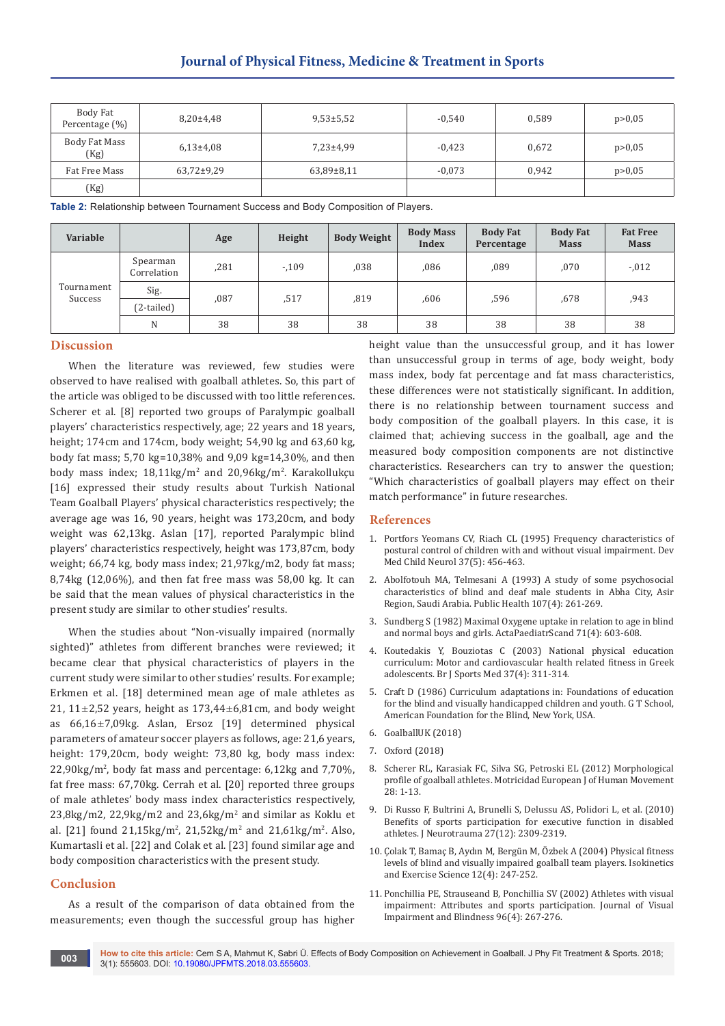| Body Fat<br>Percentage (%) | $8,20{\pm}4,48$ | $9,53\pm5,52$  | $-0,540$ | 0,589 | p > 0,05 |  |
|----------------------------|-----------------|----------------|----------|-------|----------|--|
| Body Fat Mass<br>(Kg)      | $6,13{\pm}4,08$ | $7,23+4,99$    | $-0.423$ | 0,672 | p > 0,05 |  |
| Fat Free Mass              | 63,72±9,29      | $63,89\pm8,11$ | $-0,073$ | 0.942 | p > 0,05 |  |
| (Kg)                       |                 |                |          |       |          |  |

**Table 2:** Relationship between Tournament Success and Body Composition of Players.

| Variable              |                         | Age  | Height | <b>Body Weight</b> | <b>Body Mass</b><br><b>Index</b> | <b>Body Fat</b><br>Percentage | <b>Body Fat</b><br><b>Mass</b> | <b>Fat Free</b><br><b>Mass</b> |
|-----------------------|-------------------------|------|--------|--------------------|----------------------------------|-------------------------------|--------------------------------|--------------------------------|
| Tournament<br>Success | Spearman<br>Correlation | ,281 | $-109$ | ,038               | ,086                             | ,089                          | ,070                           | $-.012$                        |
|                       | Sig.                    | ,087 | ,517   | ,819               | .606                             | .596                          | .678                           | .943                           |
|                       | (2-tailed)              |      |        |                    |                                  |                               |                                |                                |
|                       | N                       | 38   | 38     | 38                 | 38                               | 38                            | 38                             | 38                             |

## **Discussion**

When the literature was reviewed, few studies were observed to have realised with goalball athletes. So, this part of the article was obliged to be discussed with too little references. Scherer et al. [8] reported two groups of Paralympic goalball players' characteristics respectively, age; 22 years and 18 years, height; 174cm and 174cm, body weight; 54,90 kg and 63,60 kg, body fat mass; 5,70 kg=10,38% and 9,09 kg=14,30%, and then body mass index; 18,11kg/m<sup>2</sup> and 20,96kg/m<sup>2</sup>. Karakollukçu [16] expressed their study results about Turkish National Team Goalball Players' physical characteristics respectively; the average age was 16, 90 years, height was 173,20cm, and body weight was 62,13kg. Aslan [17], reported Paralympic blind players' characteristics respectively, height was 173,87cm, body weight; 66,74 kg, body mass index; 21,97kg/m2, body fat mass; 8,74kg (12,06%), and then fat free mass was 58,00 kg. It can be said that the mean values of physical characteristics in the present study are similar to other studies' results.

When the studies about "Non-visually impaired (normally sighted)" athletes from different branches were reviewed; it became clear that physical characteristics of players in the current study were similar to other studies' results. For example; Erkmen et al. [18] determined mean age of male athletes as 21,  $11\pm2,52$  years, height as  $173,44\pm6,81$ cm, and body weight as  $66,16\pm7,09$ kg. Aslan, Ersoz [19] determined physical parameters of amateur soccer players as follows, age: 21,6 years, height: 179,20cm, body weight: 73,80 kg, body mass index: 22,90kg/m<sup>2</sup> , body fat mass and percentage: 6,12kg and 7,70%, fat free mass: 67,70kg. Cerrah et al. [20] reported three groups of male athletes' body mass index characteristics respectively, 23,8kg/m2, 22,9kg/m2 and 23,6kg/m<sup>2</sup> and similar as Koklu et al. [21] found  $21,15\,\text{kg/m}^2$ ,  $21,52\,\text{kg/m}^2$  and  $21,61\,\text{kg/m}^2$ . Also, Kumartasli et al. [22] and Colak et al. [23] found similar age and body composition characteristics with the present study.

## **Conclusion**

As a result of the comparison of data obtained from the measurements; even though the successful group has higher height value than the unsuccessful group, and it has lower than unsuccessful group in terms of age, body weight, body mass index, body fat percentage and fat mass characteristics, these differences were not statistically significant. In addition, there is no relationship between tournament success and body composition of the goalball players. In this case, it is claimed that; achieving success in the goalball, age and the measured body composition components are not distinctive characteristics. Researchers can try to answer the question; "Which characteristics of goalball players may effect on their match performance" in future researches.

#### **References**

- 1. [Portfors Yeomans CV, Riach CL \(1995\) Frequency characteristics of](https://www.ncbi.nlm.nih.gov/pubmed/7768345)  [postural control of children with and without visual impairment. Dev](https://www.ncbi.nlm.nih.gov/pubmed/7768345)  [Med Child Neurol 37\(5\): 456-463.](https://www.ncbi.nlm.nih.gov/pubmed/7768345)
- 2. [Abolfotouh MA, Telmesani A \(1993\) A study of some psychosocial](https://www.ncbi.nlm.nih.gov/pubmed/8356208)  [characteristics of blind and deaf male students in Abha City, Asir](https://www.ncbi.nlm.nih.gov/pubmed/8356208)  [Region, Saudi Arabia. Public Health 107\(4\): 261-269.](https://www.ncbi.nlm.nih.gov/pubmed/8356208)
- 3. [Sundberg S \(1982\) Maximal Oxygene uptake in relation to age in blind](https://onlinelibrary.wiley.com/doi/pdf/10.1111/j.1651-2227.1982.tb09482.x)  [and normal boys and girls. ActaPaediatrScand 71\(4\): 603-608.](https://onlinelibrary.wiley.com/doi/pdf/10.1111/j.1651-2227.1982.tb09482.x)
- 4. [Koutedakis Y, Bouziotas C \(2003\) National physical education](https://www.ncbi.nlm.nih.gov/pubmed/12893715/)  [curriculum: Motor and cardiovascular health related fitness in Greek](https://www.ncbi.nlm.nih.gov/pubmed/12893715/)  [adolescents. Br J Sports Med 37\(4\): 311-314.](https://www.ncbi.nlm.nih.gov/pubmed/12893715/)
- 5. Craft D (1986) Curriculum adaptations in: Foundations of education for the blind and visually handicapped children and youth. G T School, American Foundation for the Blind, New York, USA.
- 6. [GoalballUK \(2018\)](http://www.goalballuk.com/?p=custom&page_id=75)
- 7. [Oxford \(2018\)](https://www.oxford.gov.uk/PageRender/decN/newsarticle.htm?newsarticleitemid)
- 8. [Scherer RL, Karasiak FC, Silva SG, Petroski EL \(2012\) Morphological](http://www.redalyc.org/html/2742/274224368001/index.html)  [profile of goalball athletes. Motricidad European J of Human Movement](http://www.redalyc.org/html/2742/274224368001/index.html)  [28: 1-13.](http://www.redalyc.org/html/2742/274224368001/index.html)
- 9. [Di Russo F, Bultrini A, Brunelli S, Delussu AS, Polidori L, et al. \(2010\)](https://www.ncbi.nlm.nih.gov/pubmed/20925480)  [Benefits of sports participation for executive function in disabled](https://www.ncbi.nlm.nih.gov/pubmed/20925480)  [athletes. J Neurotrauma 27\(12\): 2309-2319.](https://www.ncbi.nlm.nih.gov/pubmed/20925480)
- 10. [Çolak T, Bamaç B, Aydın M, Bergün M, Özbek A \(2004\) Physical fitness](https://content.iospress.com/articles/isokinetics-and-exercise-science/ies00182)  [levels of blind and visually impaired goalball team players. Isokinetics](https://content.iospress.com/articles/isokinetics-and-exercise-science/ies00182)  [and Exercise Science 12\(4\): 247-252.](https://content.iospress.com/articles/isokinetics-and-exercise-science/ies00182)
- 11. [Ponchillia PE, Strauseand B, Ponchillia SV \(2002\) Athletes with visual](http://web.a.ebscohost.com/abstract?direct=true&profile=ehost&scope=site&authtype=crawler&jrnl=0145482X&AN=6533665&h=bfcx3Z3PZdyr4Yu%2fqWJ4CQfa5iNnZU14J9xaVVtFd1RMrS%2bBKrltUdu%2bOpRj9e2SdBHtQ%2fVzAHVcAi4Cpeo5PQ%3d%3d&crl=c&resultNs=AdminWebAuth&resultLoca)  [impairment: Attributes and sports participation. Journal of Visual](http://web.a.ebscohost.com/abstract?direct=true&profile=ehost&scope=site&authtype=crawler&jrnl=0145482X&AN=6533665&h=bfcx3Z3PZdyr4Yu%2fqWJ4CQfa5iNnZU14J9xaVVtFd1RMrS%2bBKrltUdu%2bOpRj9e2SdBHtQ%2fVzAHVcAi4Cpeo5PQ%3d%3d&crl=c&resultNs=AdminWebAuth&resultLoca)  [Impairment and Blindness 96\(4\): 267-276.](http://web.a.ebscohost.com/abstract?direct=true&profile=ehost&scope=site&authtype=crawler&jrnl=0145482X&AN=6533665&h=bfcx3Z3PZdyr4Yu%2fqWJ4CQfa5iNnZU14J9xaVVtFd1RMrS%2bBKrltUdu%2bOpRj9e2SdBHtQ%2fVzAHVcAi4Cpeo5PQ%3d%3d&crl=c&resultNs=AdminWebAuth&resultLoca)